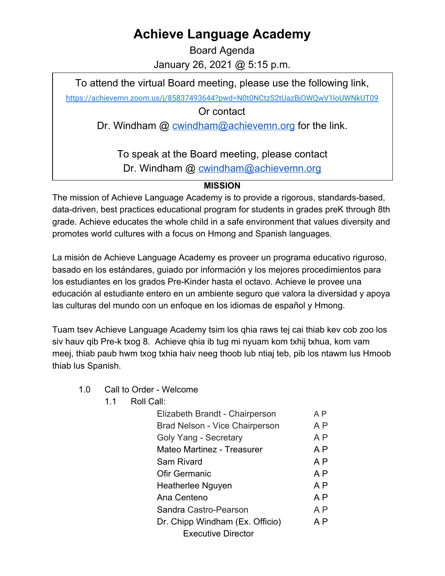## **Achieve Language Academy**

Board Agenda January 26, 2021 @ 5:15 p.m.

To attend the virtual Board meeting, please use the following link,

<https://achievemn.zoom.us/j/85837493644?pwd=N0t0NCtzS2tUazBjOWQwV1loUWNkUT09>

Or contact

Dr. Windham @ [cwindham@achievemn.org](mailto:cwindham@achievemn.org) for the link.

To speak at the Board meeting, please contact Dr. Windham @ [cwindham@achievemn.org](mailto:cwindham@achievemn.org)

## **MISSION**

The mission of Achieve Language Academy is to provide a rigorous, standards-based, data-driven, best practices educational program for students in grades preK through 8th grade. Achieve educates the whole child in a safe environment that values diversity and promotes world cultures with a focus on Hmong and Spanish languages.

La misión de Achieve Language Academy es proveer un programa educativo riguroso, basado en los estándares, guiado por información y los mejores procedimientos para los estudiantes en los grados Pre-Kinder hasta el octavo. Achieve le provee una educación al estudiante entero en un ambiente seguro que valora la diversidad y apoya las culturas del mundo con un enfoque en los idiomas de español y Hmong.

Tuam tsev Achieve Language Academy tsim los qhia raws tej cai thiab kev cob zoo los siv hauv qib Pre-k txog 8. Achieve qhia ib tug mi nyuam kom txhij txhua, kom vam meej, thiab paub hwm txog txhia haiv neeg thoob lub ntiaj teb, pib los ntawm lus Hmoob thiab lus Spanish.

- 1.0 Call to Order Welcome
	- 1.1 Roll Call:

| Elizabeth Brandt - Chairperson  | ΑP             |
|---------------------------------|----------------|
| Brad Nelson - Vice Chairperson  | A P            |
| Goly Yang - Secretary           | A P            |
| Mateo Martinez - Treasurer      | A P            |
| Sam Rivard                      | A <sub>P</sub> |
| Ofir Germanic                   | A P            |
| Heatherlee Nguyen               | A P            |
| Ana Centeno                     | A P            |
| Sandra Castro-Pearson           | A P            |
| Dr. Chipp Windham (Ex. Officio) | A P            |
| <b>Executive Director</b>       |                |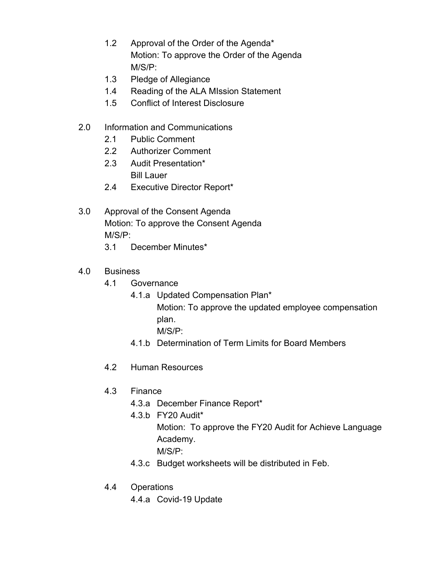- 1.2 Approval of the Order of the Agenda\* Motion: To approve the Order of the Agenda M/S/P:
- 1.3 Pledge of Allegiance
- 1.4 Reading of the ALA MIssion Statement
- 1.5 Conflict of Interest Disclosure
- 2.0 Information and Communications
	- 2.1 Public Comment
	- 2.2 Authorizer Comment
	- 2.3 Audit Presentation\* Bill Lauer
	- 2.4 Executive Director Report\*
- 3.0 Approval of the Consent Agenda Motion: To approve the Consent Agenda M/S/P:
	- 3.1 December Minutes\*
- 4.0 Business
	- 4.1 Governance
		- 4.1.a Updated Compensation Plan\*
			- Motion: To approve the updated employee compensation plan.
				- M/S/P:
		- 4.1.b Determination of Term Limits for Board Members
	- 4.2 Human Resources
	- 4.3 Finance
		- 4.3.a December Finance Report\*
		- 4.3.b FY20 Audit\*
			- Motion: To approve the FY20 Audit for Achieve Language Academy.
				- M/S/P:
		- 4.3.c Budget worksheets will be distributed in Feb.
	- 4.4 Operations
		- 4.4.a Covid-19 Update